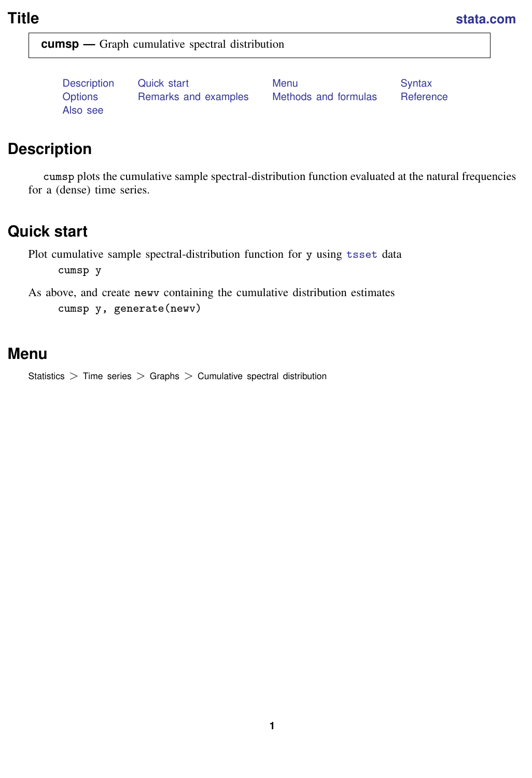<span id="page-0-3"></span>

**cumsp —** Graph cumulative spectral distribution

[Also see](#page-3-1)

[Description](#page-0-0) [Quick start](#page-0-1) [Menu](#page-0-2) Menu [Syntax](#page-1-0) [Options](#page-1-1) [Remarks and examples](#page-2-0) [Methods and formulas](#page-2-1) [Reference](#page-3-0)

# <span id="page-0-0"></span>**Description**

<span id="page-0-1"></span>cumsp plots the cumulative sample spectral-distribution function evaluated at the natural frequencies for a (dense) time series.

# **Quick start**

Plot cumulative sample spectral-distribution function for y using [tsset](https://www.stata.com/manuals/tstsset.pdf#tstsset) data cumsp y

<span id="page-0-2"></span>As above, and create newv containing the cumulative distribution estimates cumsp y, generate(newv)

### **Menu**

Statistics > Time series > Graphs > Cumulative spectral distribution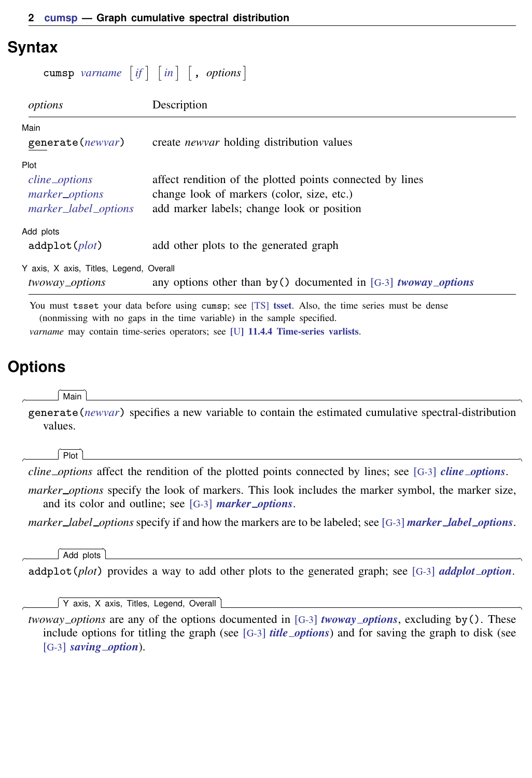### <span id="page-1-0"></span>**Syntax**

| cumsp varname $[if] [in]$ , options]                            |                                                                                                                                                       |
|-----------------------------------------------------------------|-------------------------------------------------------------------------------------------------------------------------------------------------------|
| options                                                         | Description                                                                                                                                           |
| Main<br>generate(newvar)                                        | create <i>newvar</i> holding distribution values                                                                                                      |
| Plot<br>cline_options<br>marker_options<br>marker_label_options | affect rendition of the plotted points connected by lines<br>change look of markers (color, size, etc.)<br>add marker labels; change look or position |
| Add plots<br>addplot(plot)                                      | add other plots to the generated graph                                                                                                                |
| Y axis, X axis, Titles, Legend, Overall<br>twoway_options       | any options other than by () documented in [G-3] <i>twoway_options</i>                                                                                |

<span id="page-1-1"></span>You must [tsset](https://www.stata.com/manuals/tstsset.pdf#tstsset) your data before using cumsp; see [TS] tsset. Also, the time series must be dense (nonmissing with no gaps in the time variable) in the sample specified. *varname* may contain time-series operators; see [U[\] 11.4.4 Time-series varlists](https://www.stata.com/manuals/u11.pdf#u11.4.4Time-seriesvarlists).

# **Options**

 $\overline{a}$ 

 $\overline{a}$ 

 $\overline{a}$ 

 $\overline{a}$ 

∫ Main Ì Main  $\Box$ 

generate(*[newvar](https://www.stata.com/manuals/u11.pdf#u11.4varnameandvarlists)*) specifies a new variable to contain the estimated cumulative spectral-distribution values.

Plot Plot Letters and the second contract of the second contract of the second contract of the second contract of the second contract of the second contract of the second contract of the second contract of the second contract o

*cline options* affect the rendition of the plotted points connected by lines; see [G-3] *cline [options](https://www.stata.com/manuals/g-3cline_options.pdf#g-3cline_options)*.

*marker options* specify the look of markers. This look includes the marker symbol, the marker size, and its color and outline; see [G-3] *marker [options](https://www.stata.com/manuals/g-3marker_options.pdf#g-3marker_options)*.

*marker label options* specify if and how the markers are to be labeled; see [G-3] *marker label [options](https://www.stata.com/manuals/g-3marker_label_options.pdf#g-3marker_label_options)*.

[Add plots ] Add plots **the contract of the contract of the contract of the contract of the contract of the contract of the contract of the contract of the contract of the contract of the contract of the contract of the contract of the** 

addplot(*plot*) provides a way to add other plots to the generated graph; see [G-3] *[addplot](https://www.stata.com/manuals/g-3addplot_option.pdf#g-3addplot_option) option*.

✄ Y axis, X axis, Titles, Legend, Overall

*twoway options* are any of the options documented in [G-3] *[twoway](https://www.stata.com/manuals/g-3twoway_options.pdf#g-3twoway_options) options*, excluding by(). These include options for titling the graph (see [G-3] *title [options](https://www.stata.com/manuals/g-3title_options.pdf#g-3title_options)*) and for saving the graph to disk (see [G-3] *[saving](https://www.stata.com/manuals/g-3saving_option.pdf#g-3saving_option) option*).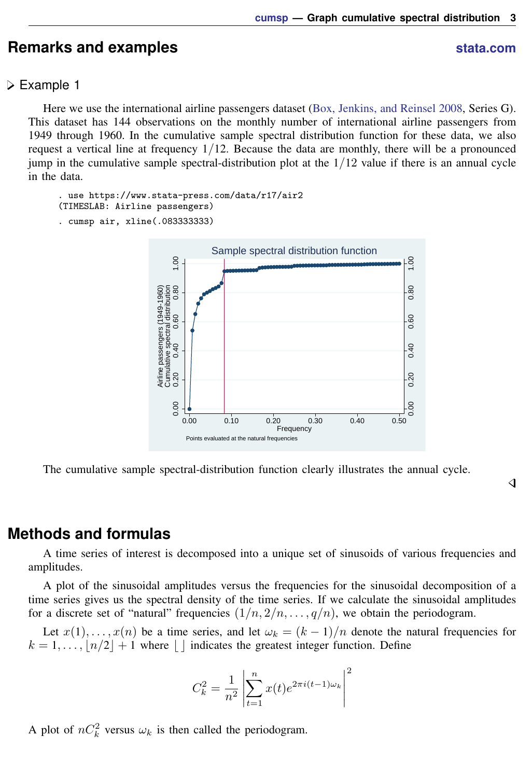## <span id="page-2-0"></span>**Remarks and examples status status status status status status**

### Example 1

Here we use the international airline passengers dataset ([Box, Jenkins, and Reinsel](#page-3-2) [2008](#page-3-2), Series G). This dataset has 144 observations on the monthly number of international airline passengers from 1949 through 1960. In the cumulative sample spectral distribution function for these data, we also request a vertical line at frequency  $1/12$ . Because the data are monthly, there will be a pronounced jump in the cumulative sample spectral-distribution plot at the  $1/12$  value if there is an annual cycle in the data.

```
. use https://www.stata-press.com/data/r17/air2
(TIMESLAB: Airline passengers)
. cumsp air, xline(.083333333)
```


The cumulative sample spectral-distribution function clearly illustrates the annual cycle.

### <span id="page-2-1"></span>**Methods and formulas**

A time series of interest is decomposed into a unique set of sinusoids of various frequencies and amplitudes.

A plot of the sinusoidal amplitudes versus the frequencies for the sinusoidal decomposition of a time series gives us the spectral density of the time series. If we calculate the sinusoidal amplitudes for a discrete set of "natural" frequencies  $(1/n, 2/n, \ldots, q/n)$ , we obtain the periodogram.

Let  $x(1), \ldots, x(n)$  be a time series, and let  $\omega_k = (k-1)/n$  denote the natural frequencies for  $k = 1, \ldots, \lfloor n/2 \rfloor + 1$  where  $\lfloor \rfloor$  indicates the greatest integer function. Define

$$
C_k^2 = \frac{1}{n^2} \left| \sum_{t=1}^n x(t) e^{2\pi i (t-1)\omega_k} \right|^2
$$

A plot of  $nC_k^2$  versus  $\omega_k$  is then called the periodogram.

◁